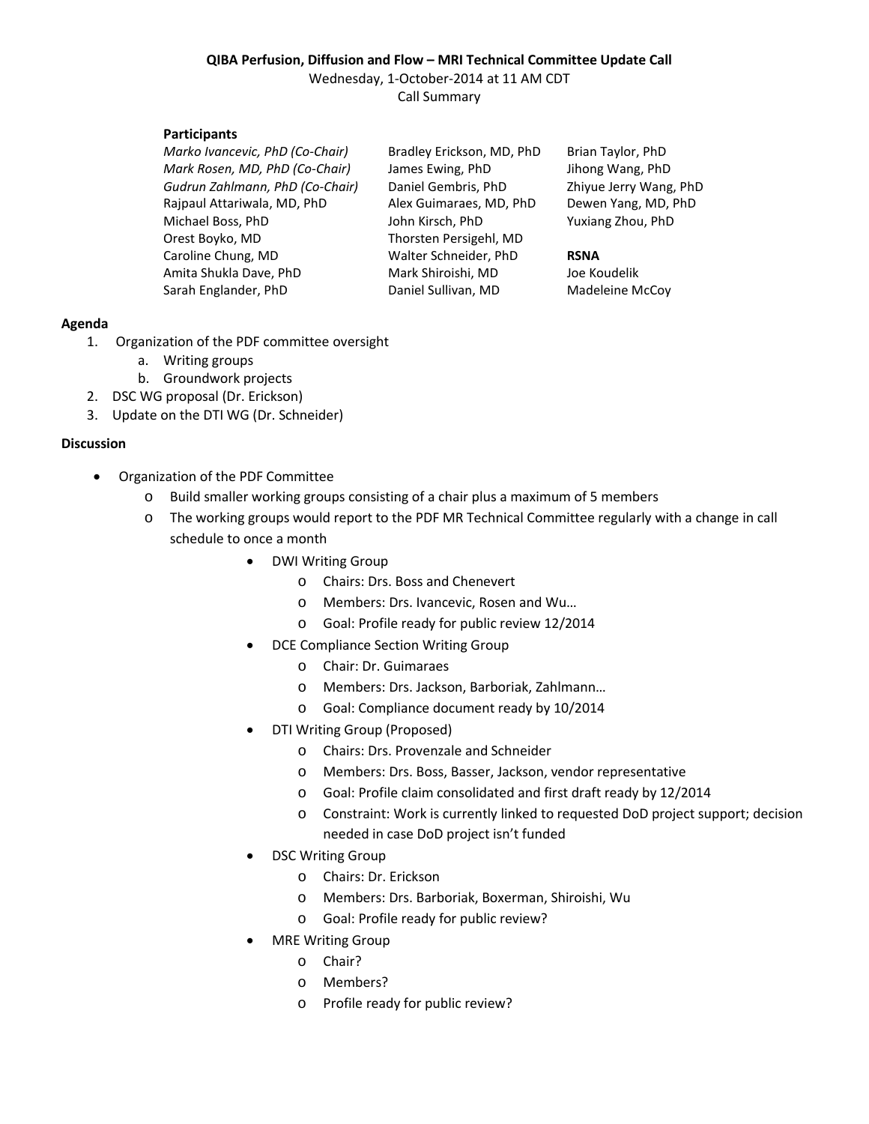# **QIBA Perfusion, Diffusion and Flow – MRI Technical Committee Update Call**

Wednesday, 1-October-2014 at 11 AM CDT Call Summary

## **Participants**

*Marko Ivancevic, PhD (Co-Chair)* Bradley Erickson, MD, PhD Brian Taylor, PhD *Mark Rosen, MD, PhD (Co-Chair)* James Ewing, PhD Jihong Wang, PhD *Gudrun Zahlmann, PhD (Co-Chair)* Daniel Gembris, PhD Zhiyue Jerry Wang, PhD Rajpaul Attariwala, MD, PhD Alex Guimaraes, MD, PhD Dewen Yang, MD, PhD Michael Boss, PhD John Kirsch, PhD Yuxiang Zhou, PhD Orest Boyko, MD Thorsten Persigehl, MD Caroline Chung, MD Walter Schneider, PhD **RSNA** Amita Shukla Dave, PhD Mark Shiroishi, MD Joe Koudelik Sarah Englander, PhD Daniel Sullivan, MD Madeleine McCoy

## **Agenda**

- 1. Organization of the PDF committee oversight
	- a. Writing groups
	- b. Groundwork projects
- 2. DSC WG proposal (Dr. Erickson)
- 3. Update on the DTI WG (Dr. Schneider)

## **Discussion**

- Organization of the PDF Committee
	- o Build smaller working groups consisting of a chair plus a maximum of 5 members
	- o The working groups would report to the PDF MR Technical Committee regularly with a change in call schedule to once a month
		- DWI Writing Group
			- o Chairs: Drs. Boss and Chenevert
			- o Members: Drs. Ivancevic, Rosen and Wu…
			- o Goal: Profile ready for public review 12/2014
		- DCE Compliance Section Writing Group
			- o Chair: Dr. Guimaraes
			- o Members: Drs. Jackson, Barboriak, Zahlmann…
			- o Goal: Compliance document ready by 10/2014
		- DTI Writing Group (Proposed)
			- o Chairs: Drs. Provenzale and Schneider
			- o Members: Drs. Boss, Basser, Jackson, vendor representative
			- o Goal: Profile claim consolidated and first draft ready by 12/2014
			- o Constraint: Work is currently linked to requested DoD project support; decision needed in case DoD project isn't funded
		- DSC Writing Group
			- o Chairs: Dr. Erickson
			- o Members: Drs. Barboriak, Boxerman, Shiroishi, Wu
			- o Goal: Profile ready for public review?
		- MRE Writing Group
			- o Chair?
			- o Members?
			- o Profile ready for public review?